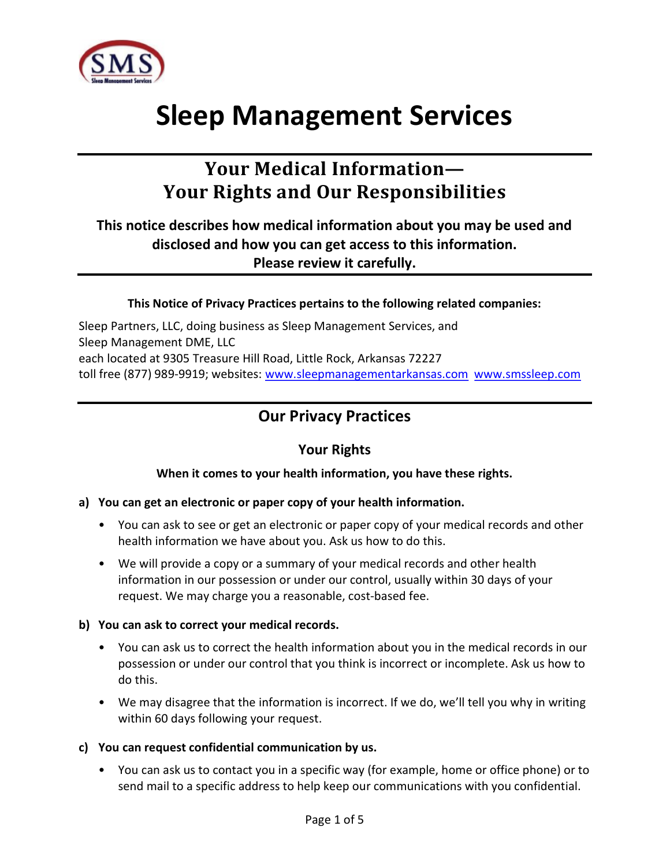

# Sleep Management Services

# Your Medical Information— Your Rights and Our Responsibilities

# This notice describes how medical information about you may be used and disclosed and how you can get access to this information. Please review it carefully.

#### This Notice of Privacy Practices pertains to the following related companies:

Sleep Partners, LLC, doing business as Sleep Management Services, and Sleep Management DME, LLC each located at 9305 Treasure Hill Road, Little Rock, Arkansas 72227 toll free (877) 989-9919; websites: www.sleepmanagementarkansas.com www.smssleep.com

# Our Privacy Practices

## Your Rights

#### When it comes to your health information, you have these rights.

#### a) You can get an electronic or paper copy of your health information.

- You can ask to see or get an electronic or paper copy of your medical records and other health information we have about you. Ask us how to do this.
- We will provide a copy or a summary of your medical records and other health information in our possession or under our control, usually within 30 days of your request. We may charge you a reasonable, cost-based fee.

#### b) You can ask to correct your medical records.

- You can ask us to correct the health information about you in the medical records in our possession or under our control that you think is incorrect or incomplete. Ask us how to do this.
- We may disagree that the information is incorrect. If we do, we'll tell you why in writing within 60 days following your request.

#### c) You can request confidential communication by us.

• You can ask us to contact you in a specific way (for example, home or office phone) or to send mail to a specific address to help keep our communications with you confidential.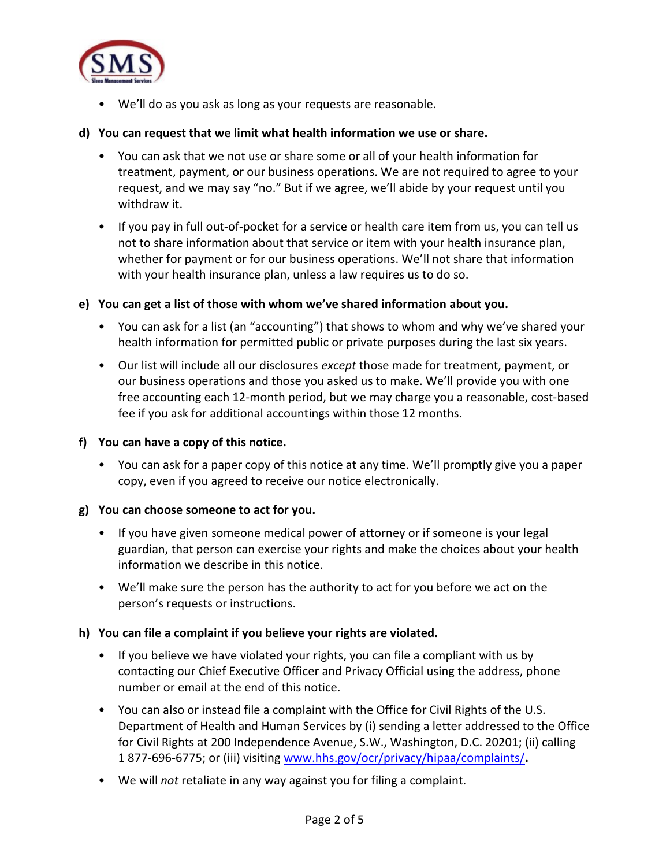

• We'll do as you ask as long as your requests are reasonable.

#### d) You can request that we limit what health information we use or share.

- You can ask that we not use or share some or all of your health information for treatment, payment, or our business operations. We are not required to agree to your request, and we may say "no." But if we agree, we'll abide by your request until you withdraw it.
- If you pay in full out-of-pocket for a service or health care item from us, you can tell us not to share information about that service or item with your health insurance plan, whether for payment or for our business operations. We'll not share that information with your health insurance plan, unless a law requires us to do so.

#### e) You can get a list of those with whom we've shared information about you.

- You can ask for a list (an "accounting") that shows to whom and why we've shared your health information for permitted public or private purposes during the last six years.
- Our list will include all our disclosures *except* those made for treatment, payment, or our business operations and those you asked us to make. We'll provide you with one free accounting each 12-month period, but we may charge you a reasonable, cost-based fee if you ask for additional accountings within those 12 months.
- f) You can have a copy of this notice.
	- You can ask for a paper copy of this notice at any time. We'll promptly give you a paper copy, even if you agreed to receive our notice electronically.

#### g) You can choose someone to act for you.

- If you have given someone medical power of attorney or if someone is your legal guardian, that person can exercise your rights and make the choices about your health information we describe in this notice.
- We'll make sure the person has the authority to act for you before we act on the person's requests or instructions.

#### h) You can file a complaint if you believe your rights are violated.

- If you believe we have violated your rights, you can file a compliant with us by contacting our Chief Executive Officer and Privacy Official using the address, phone number or email at the end of this notice.
- You can also or instead file a complaint with the Office for Civil Rights of the U.S. Department of Health and Human Services by (i) sending a letter addressed to the Office for Civil Rights at 200 Independence Avenue, S.W., Washington, D.C. 20201; (ii) calling 1 877-696-6775; or (iii) visiting www.hhs.gov/ocr/privacy/hipaa/complaints/.
- We will not retaliate in any way against you for filing a complaint.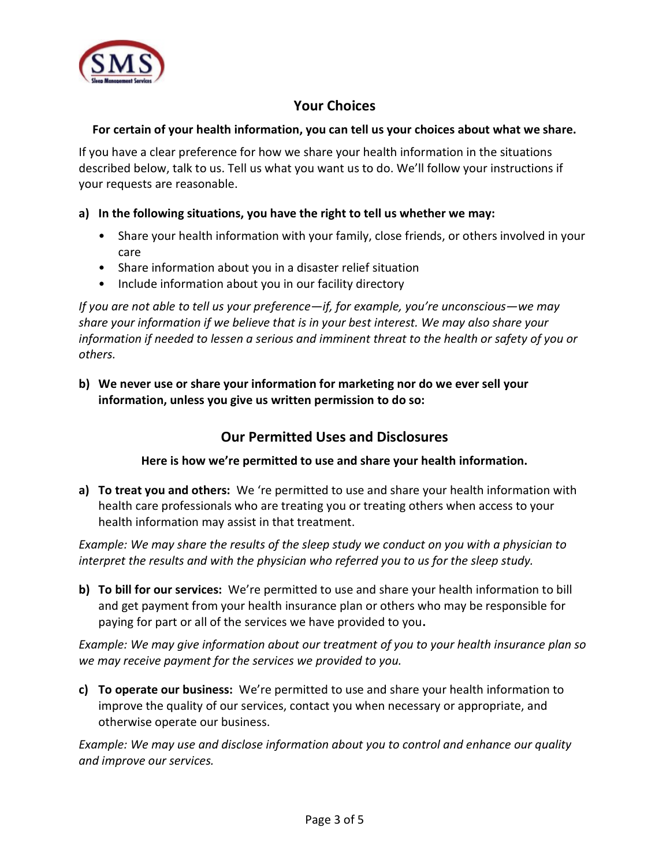

# Your Choices

#### For certain of your health information, you can tell us your choices about what we share.

If you have a clear preference for how we share your health information in the situations described below, talk to us. Tell us what you want us to do. We'll follow your instructions if your requests are reasonable.

#### a) In the following situations, you have the right to tell us whether we may:

- Share your health information with your family, close friends, or others involved in your care
- Share information about you in a disaster relief situation
- Include information about you in our facility directory

If you are not able to tell us your preference—if, for example, you're unconscious—we may share your information if we believe that is in your best interest. We may also share your information if needed to lessen a serious and imminent threat to the health or safety of you or others.

b) We never use or share your information for marketing nor do we ever sell your information, unless you give us written permission to do so:

# Our Permitted Uses and Disclosures

Here is how we're permitted to use and share your health information.

a) To treat you and others: We 're permitted to use and share your health information with health care professionals who are treating you or treating others when access to your health information may assist in that treatment.

Example: We may share the results of the sleep study we conduct on you with a physician to interpret the results and with the physician who referred you to us for the sleep study.

b) To bill for our services: We're permitted to use and share your health information to bill and get payment from your health insurance plan or others who may be responsible for paying for part or all of the services we have provided to you.

Example: We may give information about our treatment of you to your health insurance plan so we may receive payment for the services we provided to you.

c) To operate our business: We're permitted to use and share your health information to improve the quality of our services, contact you when necessary or appropriate, and otherwise operate our business.

Example: We may use and disclose information about you to control and enhance our quality and improve our services.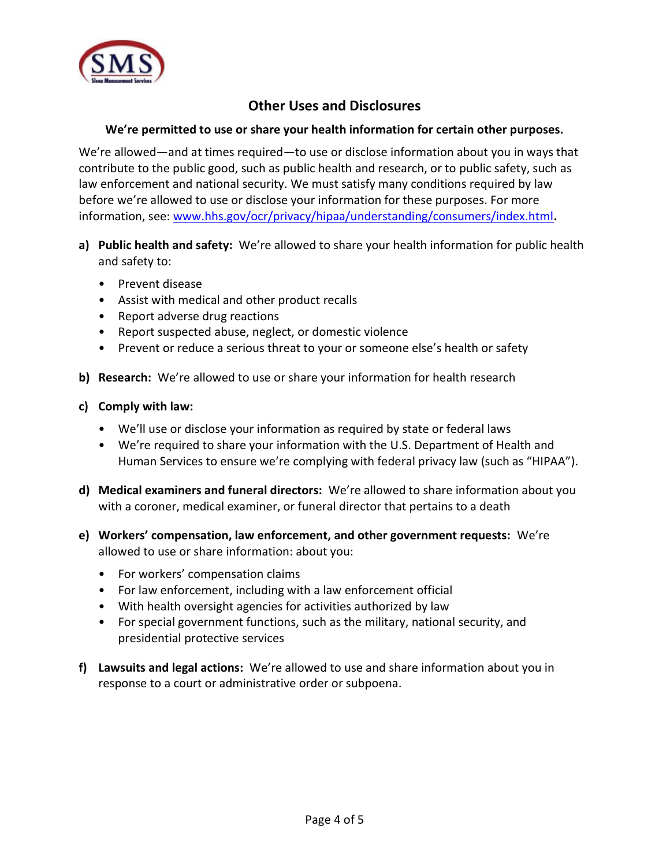

# Other Uses and Disclosures

#### We're permitted to use or share your health information for certain other purposes.

We're allowed—and at times required—to use or disclose information about you in ways that contribute to the public good, such as public health and research, or to public safety, such as law enforcement and national security. We must satisfy many conditions required by law before we're allowed to use or disclose your information for these purposes. For more information, see: www.hhs.gov/ocr/privacy/hipaa/understanding/consumers/index.html.

- a) Public health and safety: We're allowed to share your health information for public health and safety to:
	- Prevent disease
	- Assist with medical and other product recalls
	- Report adverse drug reactions
	- Report suspected abuse, neglect, or domestic violence
	- Prevent or reduce a serious threat to your or someone else's health or safety
- b) Research: We're allowed to use or share your information for health research
- c) Comply with law:
	- We'll use or disclose your information as required by state or federal laws
	- We're required to share your information with the U.S. Department of Health and Human Services to ensure we're complying with federal privacy law (such as "HIPAA").
- d) Medical examiners and funeral directors: We're allowed to share information about you with a coroner, medical examiner, or funeral director that pertains to a death
- e) Workers' compensation, law enforcement, and other government requests: We're allowed to use or share information: about you:
	- For workers' compensation claims
	- For law enforcement, including with a law enforcement official
	- With health oversight agencies for activities authorized by law
	- For special government functions, such as the military, national security, and presidential protective services
- f) Lawsuits and legal actions: We're allowed to use and share information about you in response to a court or administrative order or subpoena.